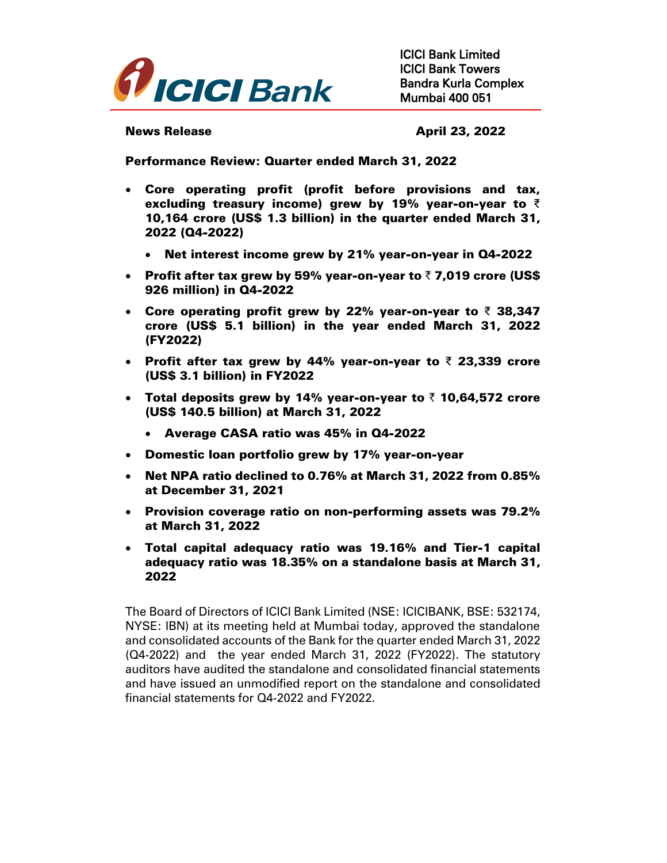

News Release **April 23, 2022** 

Performance Review: Quarter ended March 31, 2022

- Core operating profit (profit before provisions and tax, excluding treasury income) grew by 19% year-on-year to  $\bar{z}$ 10,164 crore (US\$ 1.3 billion) in the quarter ended March 31, 2022 (Q4-2022)
	- Net interest income grew by 21% year-on-year in Q4-2022
- Profit after tax grew by 59% year-on-year to  $\bar{\tau}$  7,019 crore (US\$) 926 million) in Q4-2022
- Core operating profit grew by 22% year-on-year to ₹ 38,347 crore (US\$ 5.1 billion) in the year ended March 31, 2022 (FY2022)
- Profit after tax grew by 44% year-on-year to ₹ 23,339 crore (US\$ 3.1 billion) in FY2022
- Total deposits grew by 14% year-on-year to  $\bar{z}$  10,64,572 crore (US\$ 140.5 billion) at March 31, 2022
	- Average CASA ratio was 45% in Q4-2022
- Domestic loan portfolio grew by 17% year-on-year
- Net NPA ratio declined to 0.76% at March 31, 2022 from 0.85% at December 31, 2021
- Provision coverage ratio on non-performing assets was 79.2% at March 31, 2022
- Total capital adequacy ratio was 19.16% and Tier-1 capital adequacy ratio was 18.35% on a standalone basis at March 31, 2022

The Board of Directors of ICICI Bank Limited (NSE: ICICIBANK, BSE: 532174, NYSE: IBN) at its meeting held at Mumbai today, approved the standalone and consolidated accounts of the Bank for the quarter ended March 31, 2022 (Q4-2022) and the year ended March 31, 2022 (FY2022). The statutory auditors have audited the standalone and consolidated financial statements and have issued an unmodified report on the standalone and consolidated financial statements for Q4-2022 and FY2022.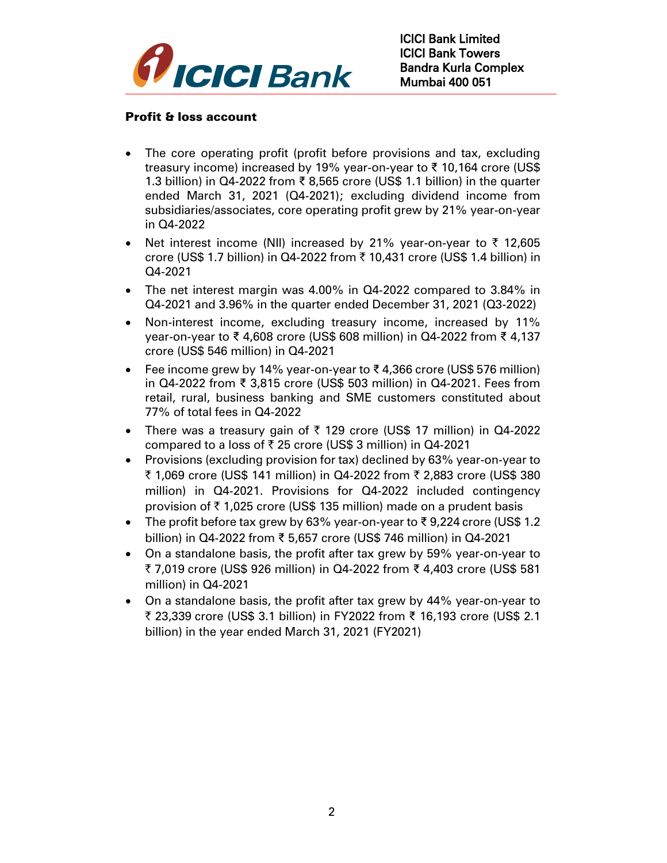

#### Profit & loss account

- The core operating profit (profit before provisions and tax, excluding treasury income) increased by 19% year-on-year to ₹ 10,164 crore (US\$ 1.3 billion) in Q4-2022 from ₹ 8,565 crore (US\$ 1.1 billion) in the quarter ended March 31, 2021 (Q4-2021); excluding dividend income from subsidiaries/associates, core operating profit grew by 21% year-on-year in Q4-2022
- Net interest income (NII) increased by 21% year-on-year to  $\bar{\tau}$  12,605 crore (US\$ 1.7 billion) in Q4-2022 from ₹ 10,431 crore (US\$ 1.4 billion) in Q4-2021
- The net interest margin was 4.00% in Q4-2022 compared to 3.84% in Q4-2021 and 3.96% in the quarter ended December 31, 2021 (Q3-2022)
- Non-interest income, excluding treasury income, increased by 11% year-on-year to ₹ 4,608 crore (US\$ 608 million) in Q4-2022 from ₹ 4,137 crore (US\$ 546 million) in Q4-2021
- Fee income grew by 14% year-on-year to  $\bar{\xi}$  4,366 crore (US\$ 576 million) in Q4-2022 from ₹ 3,815 crore (US\$ 503 million) in Q4-2021. Fees from retail, rural, business banking and SME customers constituted about 77% of total fees in Q4-2022
- There was a treasury gain of  $\bar{\tau}$  129 crore (US\$ 17 million) in Q4-2022 compared to a loss of  $\bar{\tau}$  25 crore (US\$ 3 million) in Q4-2021
- Provisions (excluding provision for tax) declined by 63% year-on-year to ₹ 1,069 crore (US\$ 141 million) in Q4-2022 from ₹ 2,883 crore (US\$ 380 million) in Q4-2021. Provisions for Q4-2022 included contingency provision of  $\bar{\tau}$  1,025 crore (US\$ 135 million) made on a prudent basis
- The profit before tax grew by 63% year-on-year to ₹ 9,224 crore (US\$ 1.2 billion) in Q4-2022 from ₹ 5,657 crore (US\$ 746 million) in Q4-2021
- On a standalone basis, the profit after tax grew by 59% year-on-year to ` 7,019 crore (US\$ 926 million) in Q4-2022 from ₹ 4,403 crore (US\$ 581 million) in Q4-2021
- On a standalone basis, the profit after tax grew by 44% year-on-year to ` 23,339 crore (US\$ 3.1 billion) in FY2022 from ₹ 16,193 crore (US\$ 2.1 billion) in the year ended March 31, 2021 (FY2021)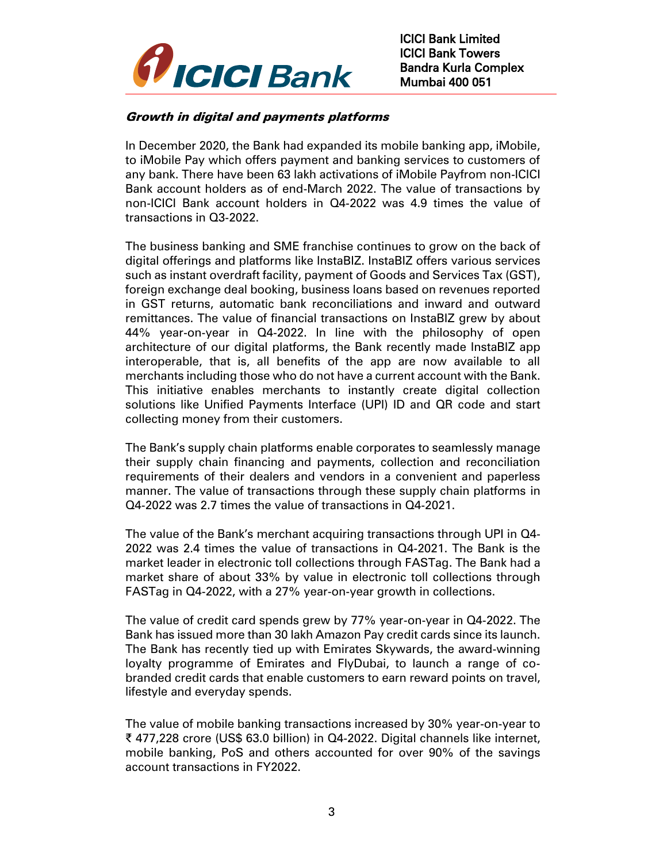

# Growth in digital and payments platforms

In December 2020, the Bank had expanded its mobile banking app, iMobile, to iMobile Pay which offers payment and banking services to customers of any bank. There have been 63 lakh activations of iMobile Payfrom non-ICICI Bank account holders as of end-March 2022. The value of transactions by non-ICICI Bank account holders in Q4-2022 was 4.9 times the value of transactions in Q3-2022.

The business banking and SME franchise continues to grow on the back of digital offerings and platforms like InstaBIZ. InstaBIZ offers various services such as instant overdraft facility, payment of Goods and Services Tax (GST), foreign exchange deal booking, business loans based on revenues reported in GST returns, automatic bank reconciliations and inward and outward remittances. The value of financial transactions on InstaBIZ grew by about 44% year-on-year in Q4-2022. In line with the philosophy of open architecture of our digital platforms, the Bank recently made InstaBIZ app interoperable, that is, all benefits of the app are now available to all merchants including those who do not have a current account with the Bank. This initiative enables merchants to instantly create digital collection solutions like Unified Payments Interface (UPI) ID and QR code and start collecting money from their customers.

The Bank's supply chain platforms enable corporates to seamlessly manage their supply chain financing and payments, collection and reconciliation requirements of their dealers and vendors in a convenient and paperless manner. The value of transactions through these supply chain platforms in Q4-2022 was 2.7 times the value of transactions in Q4-2021.

The value of the Bank's merchant acquiring transactions through UPI in Q4- 2022 was 2.4 times the value of transactions in Q4-2021. The Bank is the market leader in electronic toll collections through FASTag. The Bank had a market share of about 33% by value in electronic toll collections through FASTag in Q4-2022, with a 27% year-on-year growth in collections.

The value of credit card spends grew by 77% year-on-year in Q4-2022. The Bank has issued more than 30 lakh Amazon Pay credit cards since its launch. The Bank has recently tied up with Emirates Skywards, the award-winning loyalty programme of Emirates and FlyDubai, to launch a range of cobranded credit cards that enable customers to earn reward points on travel, lifestyle and everyday spends.

The value of mobile banking transactions increased by 30% year-on-year to ₹ 477,228 crore (US\$ 63.0 billion) in Q4-2022. Digital channels like internet, mobile banking, PoS and others accounted for over 90% of the savings account transactions in FY2022.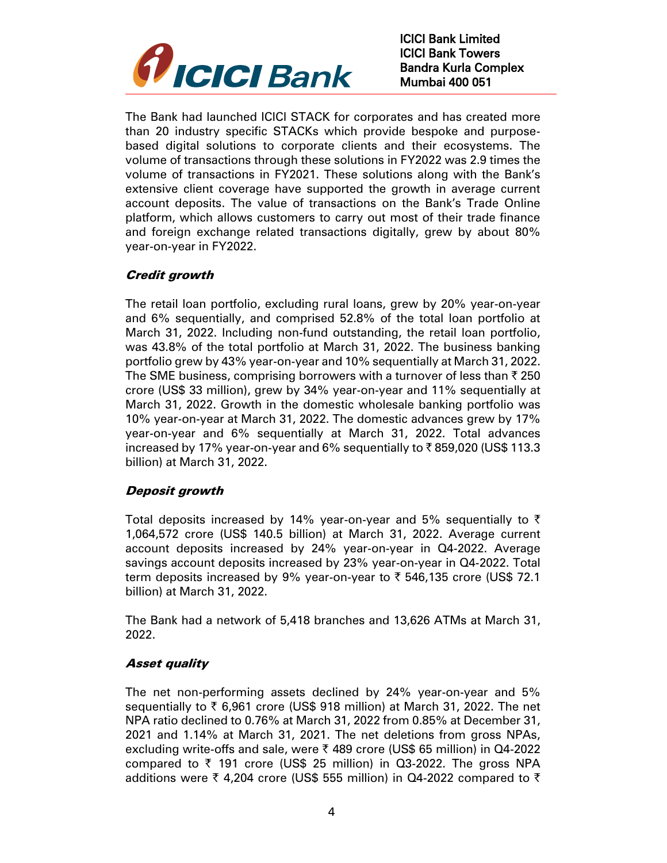

The Bank had launched ICICI STACK for corporates and has created more than 20 industry specific STACKs which provide bespoke and purposebased digital solutions to corporate clients and their ecosystems. The volume of transactions through these solutions in FY2022 was 2.9 times the volume of transactions in FY2021. These solutions along with the Bank's extensive client coverage have supported the growth in average current account deposits. The value of transactions on the Bank's Trade Online platform, which allows customers to carry out most of their trade finance and foreign exchange related transactions digitally, grew by about 80% year-on-year in FY2022.

# Credit growth

The retail loan portfolio, excluding rural loans, grew by 20% year-on-year and 6% sequentially, and comprised 52.8% of the total loan portfolio at March 31, 2022. Including non-fund outstanding, the retail loan portfolio, was 43.8% of the total portfolio at March 31, 2022. The business banking portfolio grew by 43% year-on-year and 10% sequentially at March 31, 2022. The SME business, comprising borrowers with a turnover of less than  $\bar{\tau}$  250 crore (US\$ 33 million), grew by 34% year-on-year and 11% sequentially at March 31, 2022. Growth in the domestic wholesale banking portfolio was 10% year-on-year at March 31, 2022. The domestic advances grew by 17% year-on-year and 6% sequentially at March 31, 2022. Total advances increased by 17% year-on-year and 6% sequentially to  $\bar{\tau}$  859,020 (US\$ 113.3) billion) at March 31, 2022.

## Deposit growth

Total deposits increased by 14% year-on-year and 5% sequentially to  $\bar{\tau}$ 1,064,572 crore (US\$ 140.5 billion) at March 31, 2022. Average current account deposits increased by 24% year-on-year in Q4-2022. Average savings account deposits increased by 23% year-on-year in Q4-2022. Total term deposits increased by 9% year-on-year to  $\bar{\tau}$  546,135 crore (US\$ 72.1) billion) at March 31, 2022.

The Bank had a network of 5,418 branches and 13,626 ATMs at March 31, 2022.

# Asset quality

The net non-performing assets declined by 24% year-on-year and 5% sequentially to  $\bar{\tau}$  6,961 crore (US\$ 918 million) at March 31, 2022. The net NPA ratio declined to 0.76% at March 31, 2022 from 0.85% at December 31, 2021 and 1.14% at March 31, 2021. The net deletions from gross NPAs, excluding write-offs and sale, were ₹ 489 crore (US\$ 65 million) in Q4-2022 compared to  $\bar{\tau}$  191 crore (US\$ 25 million) in Q3-2022. The gross NPA additions were  $\bar{\tau}$  4,204 crore (US\$ 555 million) in Q4-2022 compared to  $\bar{\tau}$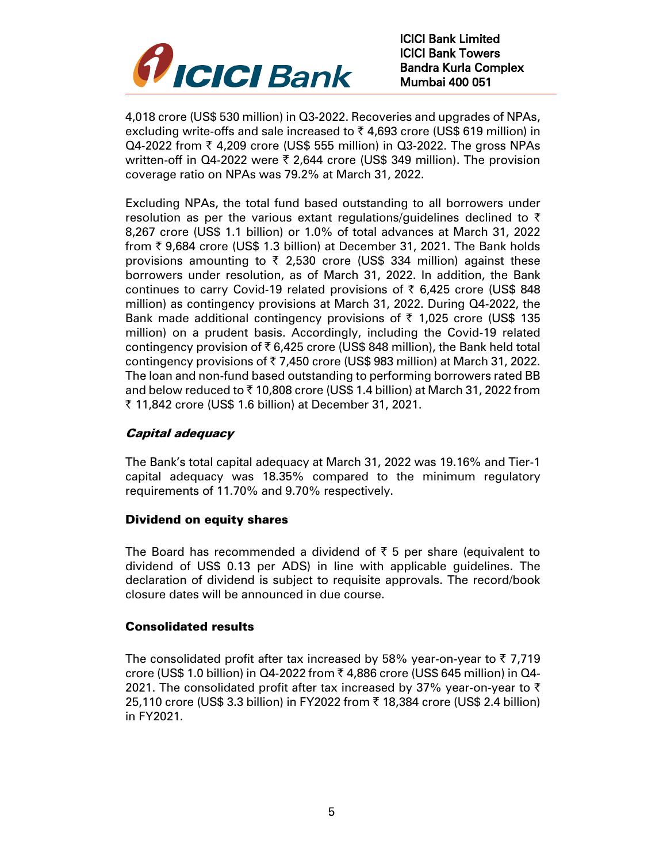

4,018 crore (US\$ 530 million) in Q3-2022. Recoveries and upgrades of NPAs, excluding write-offs and sale increased to  $\bar{\tau}$  4,693 crore (US\$ 619 million) in  $Q4$ -2022 from  $\bar{\tau}$  4,209 crore (US\$ 555 million) in  $Q3$ -2022. The gross NPAs written-off in Q4-2022 were  $\bar{\tau}$  2,644 crore (US\$ 349 million). The provision coverage ratio on NPAs was 79.2% at March 31, 2022.

Excluding NPAs, the total fund based outstanding to all borrowers under resolution as per the various extant regulations/guidelines declined to  $\bar{\tau}$ 8,267 crore (US\$ 1.1 billion) or 1.0% of total advances at March 31, 2022 from  $\bar{\tau}$  9,684 crore (US\$ 1.3 billion) at December 31, 2021. The Bank holds provisions amounting to  $\bar{\tau}$  2,530 crore (US\$ 334 million) against these borrowers under resolution, as of March 31, 2022. In addition, the Bank continues to carry Covid-19 related provisions of  $\bar{\tau}$  6,425 crore (US\$ 848) million) as contingency provisions at March 31, 2022. During Q4-2022, the Bank made additional contingency provisions of  $\bar{\tau}$  1,025 crore (US\$ 135 million) on a prudent basis. Accordingly, including the Covid-19 related contingency provision of  $\bar{\tau}$  6,425 crore (US\$ 848 million), the Bank held total contingency provisions of  $\overline{\tau}$  7,450 crore (US\$ 983 million) at March 31, 2022. The loan and non-fund based outstanding to performing borrowers rated BB and below reduced to  $\bar{\tau}$  10,808 crore (US\$ 1.4 billion) at March 31, 2022 from ` 11,842 crore (US\$ 1.6 billion) at December 31, 2021.

## Capital adequacy

The Bank's total capital adequacy at March 31, 2022 was 19.16% and Tier-1 capital adequacy was 18.35% compared to the minimum regulatory requirements of 11.70% and 9.70% respectively.

## Dividend on equity shares

The Board has recommended a dividend of  $\bar{\tau}$  5 per share (equivalent to dividend of US\$ 0.13 per ADS) in line with applicable guidelines. The declaration of dividend is subject to requisite approvals. The record/book closure dates will be announced in due course.

## Consolidated results

The consolidated profit after tax increased by 58% year-on-year to  $\bar{\tau}$  7,719 crore (US\$ 1.0 billion) in Q4-2022 from  $\bar{\tau}$  4,886 crore (US\$ 645 million) in Q4-2021. The consolidated profit after tax increased by 37% year-on-year to  $\bar{\tau}$ 25,110 crore (US\$ 3.3 billion) in FY2022 from ₹ 18,384 crore (US\$ 2.4 billion) in FY2021.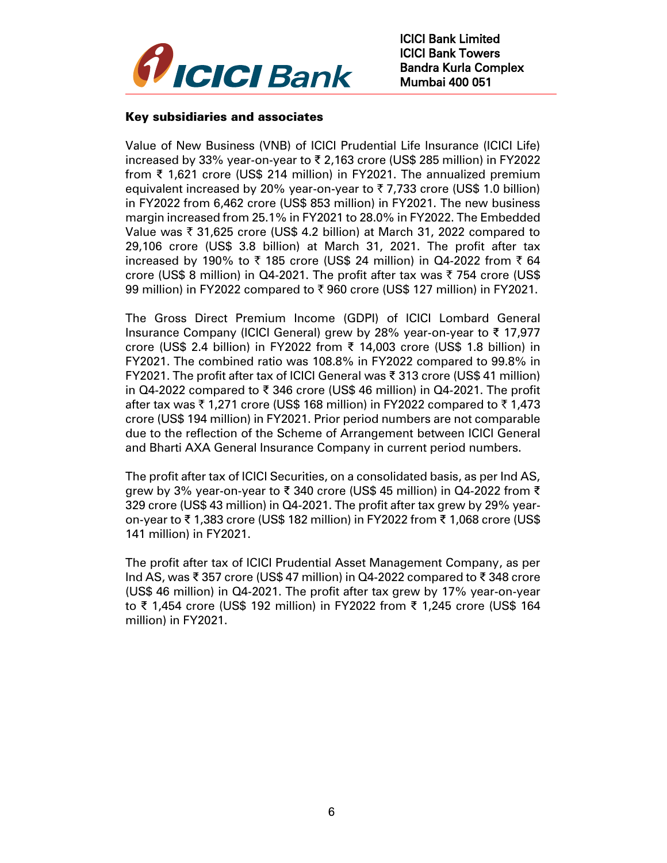

#### Key subsidiaries and associates

Value of New Business (VNB) of ICICI Prudential Life Insurance (ICICI Life) increased by 33% year-on-year to ₹ 2,163 crore (US\$ 285 million) in FY2022 from ₹ 1,621 crore (US\$ 214 million) in FY2021. The annualized premium equivalent increased by 20% year-on-year to  $\overline{5}$  7,733 crore (US\$ 1.0 billion) in FY2022 from 6,462 crore (US\$ 853 million) in FY2021. The new business margin increased from 25.1% in FY2021 to 28.0% in FY2022. The Embedded Value was  $\bar{\tau}$  31,625 crore (US\$ 4.2 billion) at March 31, 2022 compared to 29,106 crore (US\$ 3.8 billion) at March 31, 2021. The profit after tax increased by 190% to  $\overline{\zeta}$  185 crore (US\$ 24 million) in Q4-2022 from  $\overline{\zeta}$  64 crore (US\$ 8 million) in Q4-2021. The profit after tax was  $\bar{\tau}$  754 crore (US\$ 99 million) in FY2022 compared to  $\bar{\tau}$  960 crore (US\$ 127 million) in FY2021.

The Gross Direct Premium Income (GDPI) of ICICI Lombard General Insurance Company (ICICI General) grew by 28% year-on-year to ₹ 17,977 crore (US\$ 2.4 billion) in FY2022 from ₹ 14,003 crore (US\$ 1.8 billion) in FY2021. The combined ratio was 108.8% in FY2022 compared to 99.8% in FY2021. The profit after tax of ICICI General was ₹ 313 crore (US\$ 41 million) in Q4-2022 compared to ₹ 346 crore (US\$ 46 million) in Q4-2021. The profit after tax was  $\bar{\tau}$  1,271 crore (US\$ 168 million) in FY2022 compared to  $\bar{\tau}$  1,473 crore (US\$ 194 million) in FY2021. Prior period numbers are not comparable due to the reflection of the Scheme of Arrangement between ICICI General and Bharti AXA General Insurance Company in current period numbers.

The profit after tax of ICICI Securities, on a consolidated basis, as per Ind AS, grew by 3% year-on-year to ₹ 340 crore (US\$ 45 million) in Q4-2022 from ₹ 329 crore (US\$ 43 million) in Q4-2021. The profit after tax grew by 29% yearon-year to ₹ 1,383 crore (US\$ 182 million) in FY2022 from ₹ 1,068 crore (US\$ 141 million) in FY2021.

The profit after tax of ICICI Prudential Asset Management Company, as per Ind AS, was ₹ 357 crore (US\$ 47 million) in Q4-2022 compared to ₹ 348 crore (US\$ 46 million) in Q4-2021. The profit after tax grew by 17% year-on-year to ₹ 1,454 crore (US\$ 192 million) in FY2022 from ₹ 1,245 crore (US\$ 164 million) in FY2021.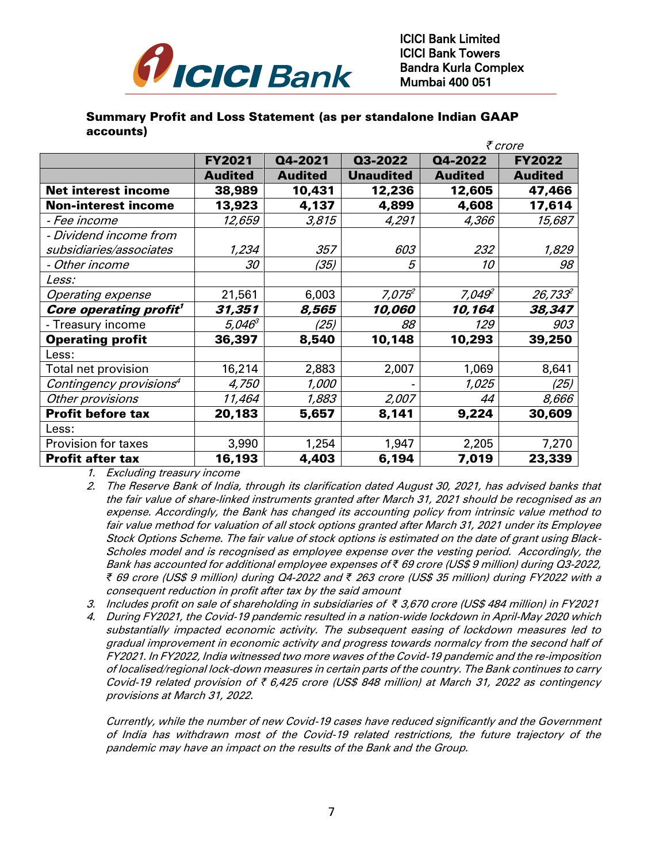

#### Summary Profit and Loss Statement (as per standalone Indian GAAP accounts)

|                                     |                    |                | ₹ crore          |                    |                |
|-------------------------------------|--------------------|----------------|------------------|--------------------|----------------|
|                                     | <b>FY2021</b>      | Q4-2021        | Q3-2022          | Q4-2022            | <b>FY2022</b>  |
|                                     | <b>Audited</b>     | <b>Audited</b> | <b>Unaudited</b> | <b>Audited</b>     | <b>Audited</b> |
| <b>Net interest income</b>          | 38,989             | 10,431         | 12,236           | 12,605             | 47,466         |
| <b>Non-interest income</b>          | 13,923             | 4,137          | 4,899            | 4,608              | 17,614         |
| - Fee income                        | 12,659             | 3,815          | 4,291            | 4,366              | 15,687         |
| - Dividend income from              |                    |                |                  |                    |                |
| subsidiaries/associates             | 1,234              | 357            | 603              | 232                | 1,829          |
| - Other income                      | 30                 | (35)           | 5                | 10                 | 98             |
| <i>Less:</i>                        |                    |                |                  |                    |                |
| <b>Operating expense</b>            | 21,561             | 6,003          | $7,075^2$        | 7,049 <sup>2</sup> | $26,733^2$     |
| Core operating profit <sup>1</sup>  | 31,351             | 8,565          | 10,060           | 10,164             | 38,347         |
| - Treasury income                   | 5,046 <sup>3</sup> | (25)           | 88               | 129                | 903            |
| <b>Operating profit</b>             | 36,397             | 8,540          | 10,148           | 10,293             | 39,250         |
| Less:                               |                    |                |                  |                    |                |
| Total net provision                 | 16,214             | 2,883          | 2,007            | 1,069              | 8,641          |
| Contingency provisions <sup>4</sup> | 4,750              | <i>1,000</i>   |                  | 1,025              | (25)           |
| Other provisions                    | 11,464             | 1,883          | 2,007            | 44                 | 8,666          |
| <b>Profit before tax</b>            | 20,183             | 5,657          | 8,141            | 9,224              | 30,609         |
| Less:                               |                    |                |                  |                    |                |
| <b>Provision for taxes</b>          | 3,990              | 1,254          | 1,947            | 2,205              | 7,270          |
| <b>Profit after tax</b>             | 16,193             | 4,403          | 6,194            | 7,019              | 23,339         |

1. Excluding treasury income

- 2. The Reserve Bank of India, through its clarification dated August 30, 2021, has advised banks that the fair value of share-linked instruments granted after March 31, 2021 should be recognised as an expense. Accordingly, the Bank has changed its accounting policy from intrinsic value method to fair value method for valuation of all stock options granted after March 31, 2021 under its Employee Stock Options Scheme. The fair value of stock options is estimated on the date of grant using Black-Scholes model and is recognised as employee expense over the vesting period. Accordingly, the Bank has accounted for additional employee expenses of *₹* 69 crore (US\$ 9 million) during Q3-2022, *₹* 69 crore (US\$ 9 million) during Q4-2022 and *₹* 263 crore (US\$ 35 million) during FY2022 with a consequent reduction in profit after tax by the said amount
- 3. Includes profit on sale of shareholding in subsidiaries of *₹* 3,670 crore (US\$ 484 million) in FY2021
- 4. During FY2021, the Covid-19 pandemic resulted in a nation-wide lockdown in April-May 2020 which substantially impacted economic activity. The subsequent easing of lockdown measures led to gradual improvement in economic activity and progress towards normalcy from the second half of FY2021. In FY2022, India witnessed two more waves of the Covid-19 pandemic and the re-imposition of localised/regional lock-down measures in certain parts of the country. The Bank continues to carry Covid-19 related provision of  $\bar{\tau}$  6,425 crore (US\$ 848 million) at March 31, 2022 as contingency provisions at March 31, 2022.

Currently, while the number of new Covid-19 cases have reduced significantly and the Government of India has withdrawn most of the Covid-19 related restrictions, the future trajectory of the pandemic may have an impact on the results of the Bank and the Group.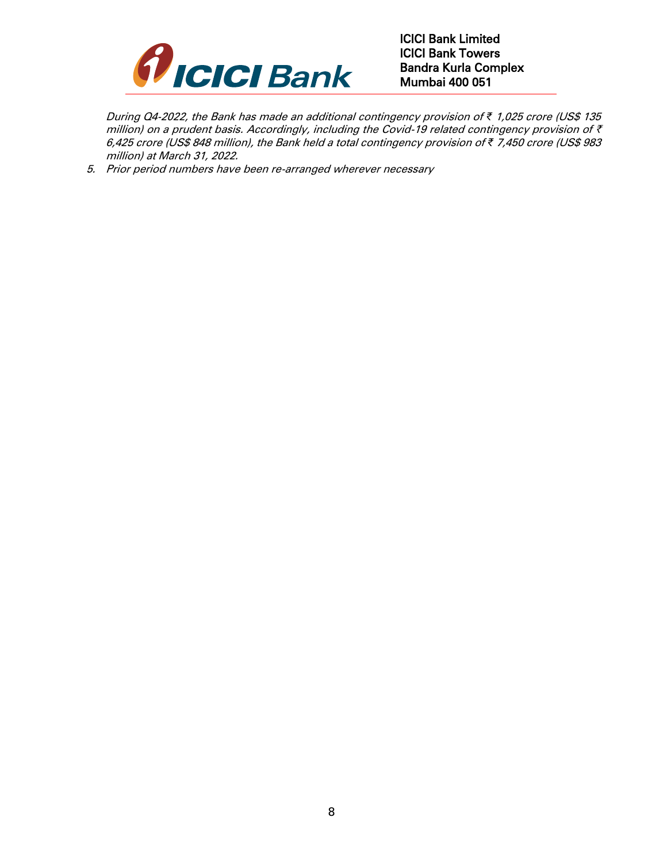

During Q4-2022, the Bank has made an additional contingency provision of *₹* 1,025 crore (US\$ 135 million) on a prudent basis. Accordingly, including the Covid-19 related contingency provision of  $\bar{\tau}$ 6,425 crore (US\$ 848 million), the Bank held a total contingency provision of *₹* 7,450 crore (US\$ 983 million) at March 31, 2022.

5. Prior period numbers have been re-arranged wherever necessary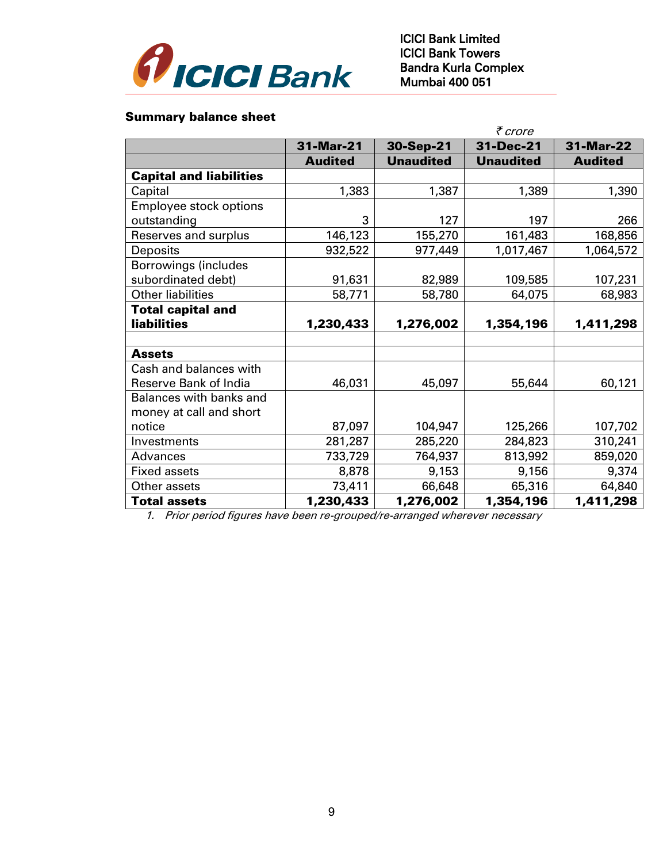

#### Summary balance sheet

|                                | ₹ crore        |                  |                  |                |  |
|--------------------------------|----------------|------------------|------------------|----------------|--|
|                                | 31-Mar-21      | 30-Sep-21        | 31-Dec-21        | 31-Mar-22      |  |
|                                | <b>Audited</b> | <b>Unaudited</b> | <b>Unaudited</b> | <b>Audited</b> |  |
| <b>Capital and liabilities</b> |                |                  |                  |                |  |
| Capital                        | 1,383          | 1,387            | 1,389            | 1,390          |  |
| Employee stock options         |                |                  |                  |                |  |
| outstanding                    | 3              | 127              | 197              | 266            |  |
| Reserves and surplus           | 146,123        | 155,270          | 161,483          | 168,856        |  |
| Deposits                       | 932,522        | 977,449          | 1,017,467        | 1,064,572      |  |
| <b>Borrowings (includes</b>    |                |                  |                  |                |  |
| subordinated debt)             | 91,631         | 82,989           | 109,585          | 107,231        |  |
| <b>Other liabilities</b>       | 58,771         | 58,780           | 64,075           | 68,983         |  |
| <b>Total capital and</b>       |                |                  |                  |                |  |
| <b>liabilities</b>             | 1,230,433      | 1,276,002        | 1,354,196        | 1,411,298      |  |
|                                |                |                  |                  |                |  |
| <b>Assets</b>                  |                |                  |                  |                |  |
| Cash and balances with         |                |                  |                  |                |  |
| Reserve Bank of India          | 46,031         | 45,097           | 55,644           | 60,121         |  |
| Balances with banks and        |                |                  |                  |                |  |
| money at call and short        |                |                  |                  |                |  |
| notice                         | 87,097         | 104,947          | 125,266          | 107,702        |  |
| Investments                    | 281,287        | 285,220          | 284,823          | 310,241        |  |
| Advances                       | 733,729        | 764,937          | 813,992          | 859,020        |  |
| <b>Fixed assets</b>            | 8,878          | 9,153            | 9,156            | 9,374          |  |
| Other assets                   | 73,411         | 66,648           | 65,316           | 64,840         |  |
| <b>Total assets</b>            | 1,230,433      | 1,276,002        | 1,354,196        | 1,411,298      |  |

1. Prior period figures have been re-grouped/re-arranged wherever necessary